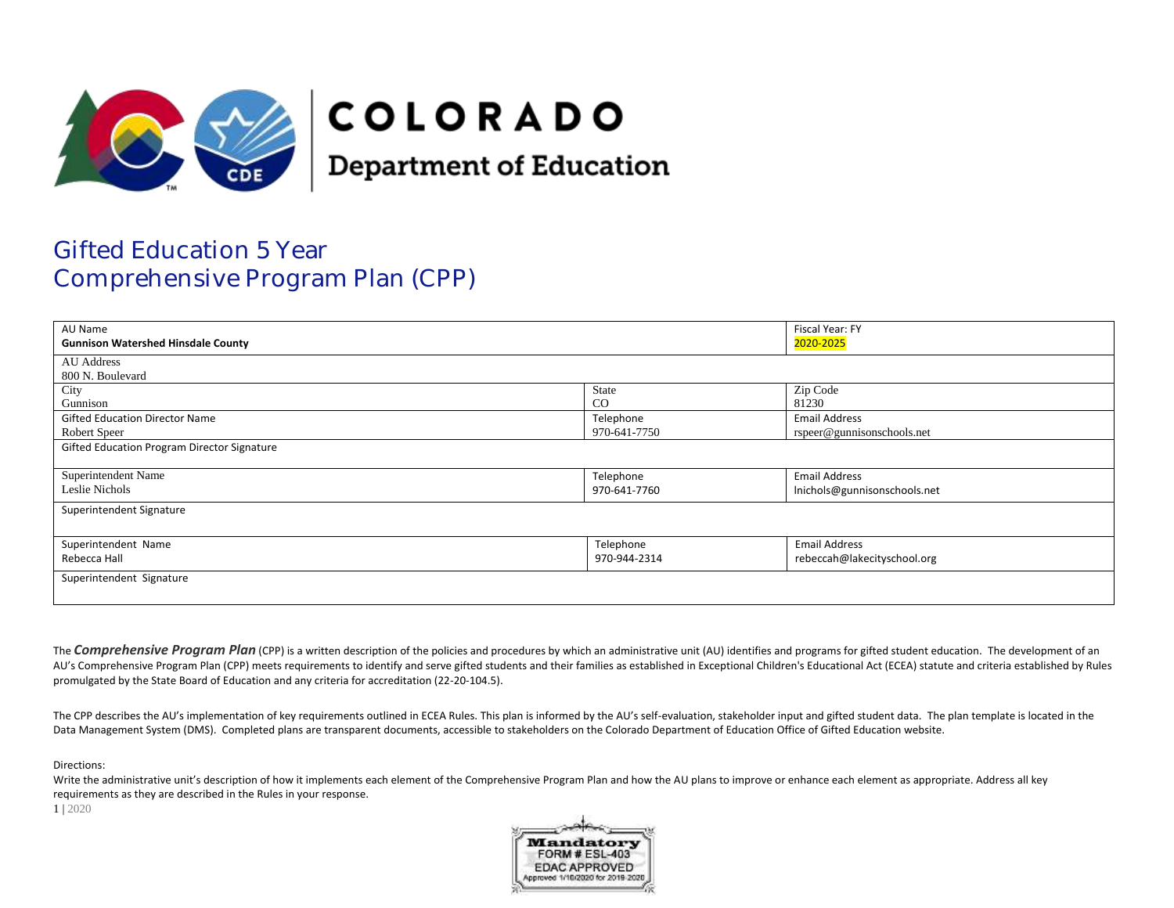

# **COLORADO**

**Department of Education** 

## Gifted Education 5 Year Comprehensive Program Plan (CPP)

| AU Name                                     |              | Fiscal Year: FY              |  |
|---------------------------------------------|--------------|------------------------------|--|
| <b>Gunnison Watershed Hinsdale County</b>   |              | 2020-2025                    |  |
| AU Address                                  |              |                              |  |
| 800 N. Boulevard                            |              |                              |  |
| City                                        | State        | Zip Code                     |  |
| Gunnison                                    | $_{\rm CO}$  | 81230                        |  |
| <b>Gifted Education Director Name</b>       | Telephone    | <b>Email Address</b>         |  |
| Robert Speer                                | 970-641-7750 | rspeer@gunnisonschools.net   |  |
| Gifted Education Program Director Signature |              |                              |  |
|                                             |              |                              |  |
| Superintendent Name                         | Telephone    | <b>Email Address</b>         |  |
| Leslie Nichols                              | 970-641-7760 | Inichols@gunnisonschools.net |  |
| Superintendent Signature                    |              |                              |  |
|                                             |              |                              |  |
| Superintendent Name                         | Telephone    | <b>Email Address</b>         |  |
| Rebecca Hall                                | 970-944-2314 | rebeccah@lakecityschool.org  |  |
| Superintendent Signature                    |              |                              |  |
|                                             |              |                              |  |

The **Comprehensive Program Plan** (CPP) is a written description of the policies and procedures by which an administrative unit (AU) identifies and programs for gifted student education. The development of an AU's Comprehensive Program Plan (CPP) meets requirements to identify and serve gifted students and their families as established in Exceptional Children's Educational Act (ECEA) statute and criteria established by Rules promulgated by the State Board of Education and any criteria for accreditation (22-20-104.5).

The CPP describes the AU's implementation of key requirements outlined in ECEA Rules. This plan is informed by the AU's self-evaluation, stakeholder input and gifted student data. The plan template is located in the Data Management System (DMS). Completed plans are transparent documents, accessible to stakeholders on the Colorado Department of Education Office of Gifted Education website.

Directions:

Write the administrative unit's description of how it implements each element of the Comprehensive Program Plan and how the AU plans to improve or enhance each element as appropriate. Address all key requirements as they are described in the Rules in your response.

1 | 2020

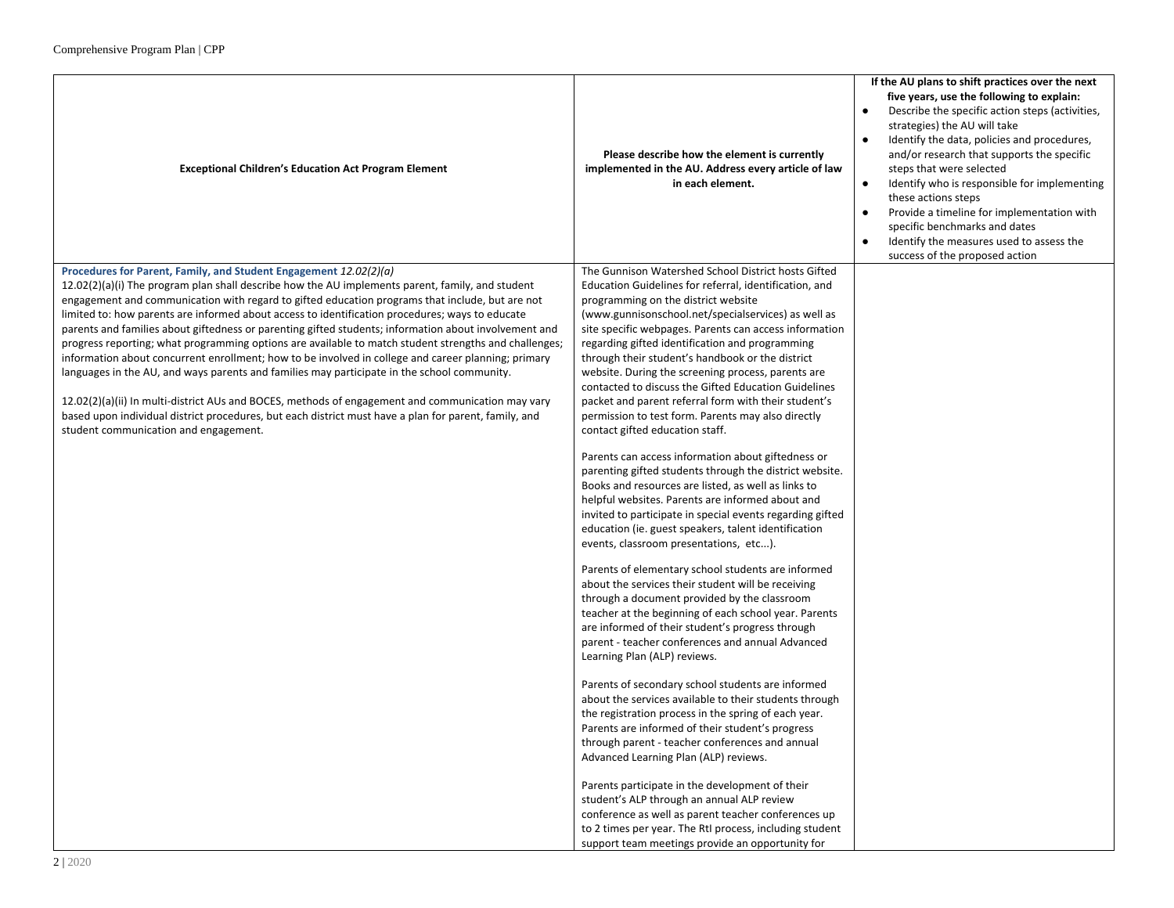| <b>Exceptional Children's Education Act Program Element</b>                                                                                                                                                                                                                                                                                                                                                                                                                                                                                                                                                                                                                                                                                                                                                                                                                                                                                                                                                                                                          | Please describe how the element is currently<br>implemented in the AU. Address every article of law<br>in each element.                                                                                                                                                                                                                                                                                                                                                                                                                                                                                                                                                                                                                                                                                                                                                                                                                                                                                                                                                                                                                                                                                                                                                                                                                                                                                                                                                                                                                                                                                                                                                                                                                                                                                                                                                                                                                                                                           | If the AU plans to shift practices over the next<br>five years, use the following to explain:<br>Describe the specific action steps (activities,<br>$\bullet$<br>strategies) the AU will take<br>Identify the data, policies and procedures,<br>and/or research that supports the specific<br>steps that were selected<br>Identify who is responsible for implementing<br>$\bullet$<br>these actions steps<br>Provide a timeline for implementation with<br>specific benchmarks and dates<br>Identify the measures used to assess the<br>success of the proposed action |
|----------------------------------------------------------------------------------------------------------------------------------------------------------------------------------------------------------------------------------------------------------------------------------------------------------------------------------------------------------------------------------------------------------------------------------------------------------------------------------------------------------------------------------------------------------------------------------------------------------------------------------------------------------------------------------------------------------------------------------------------------------------------------------------------------------------------------------------------------------------------------------------------------------------------------------------------------------------------------------------------------------------------------------------------------------------------|---------------------------------------------------------------------------------------------------------------------------------------------------------------------------------------------------------------------------------------------------------------------------------------------------------------------------------------------------------------------------------------------------------------------------------------------------------------------------------------------------------------------------------------------------------------------------------------------------------------------------------------------------------------------------------------------------------------------------------------------------------------------------------------------------------------------------------------------------------------------------------------------------------------------------------------------------------------------------------------------------------------------------------------------------------------------------------------------------------------------------------------------------------------------------------------------------------------------------------------------------------------------------------------------------------------------------------------------------------------------------------------------------------------------------------------------------------------------------------------------------------------------------------------------------------------------------------------------------------------------------------------------------------------------------------------------------------------------------------------------------------------------------------------------------------------------------------------------------------------------------------------------------------------------------------------------------------------------------------------------------|-------------------------------------------------------------------------------------------------------------------------------------------------------------------------------------------------------------------------------------------------------------------------------------------------------------------------------------------------------------------------------------------------------------------------------------------------------------------------------------------------------------------------------------------------------------------------|
| Procedures for Parent, Family, and Student Engagement 12.02(2)(a)<br>12.02(2)(a)(i) The program plan shall describe how the AU implements parent, family, and student<br>engagement and communication with regard to gifted education programs that include, but are not<br>limited to: how parents are informed about access to identification procedures; ways to educate<br>parents and families about giftedness or parenting gifted students; information about involvement and<br>progress reporting; what programming options are available to match student strengths and challenges;<br>information about concurrent enrollment; how to be involved in college and career planning; primary<br>languages in the AU, and ways parents and families may participate in the school community.<br>12.02(2)(a)(ii) In multi-district AUs and BOCES, methods of engagement and communication may vary<br>based upon individual district procedures, but each district must have a plan for parent, family, and<br>student communication and engagement.<br>212020 | The Gunnison Watershed School District hosts Gifted<br>Education Guidelines for referral, identification, and<br>programming on the district website<br>(www.gunnisonschool.net/specialservices) as well as<br>site specific webpages. Parents can access information<br>regarding gifted identification and programming<br>through their student's handbook or the district<br>website. During the screening process, parents are<br>contacted to discuss the Gifted Education Guidelines<br>packet and parent referral form with their student's<br>permission to test form. Parents may also directly<br>contact gifted education staff.<br>Parents can access information about giftedness or<br>parenting gifted students through the district website.<br>Books and resources are listed, as well as links to<br>helpful websites. Parents are informed about and<br>invited to participate in special events regarding gifted<br>education (ie. guest speakers, talent identification<br>events, classroom presentations, etc).<br>Parents of elementary school students are informed<br>about the services their student will be receiving<br>through a document provided by the classroom<br>teacher at the beginning of each school year. Parents<br>are informed of their student's progress through<br>parent - teacher conferences and annual Advanced<br>Learning Plan (ALP) reviews.<br>Parents of secondary school students are informed<br>about the services available to their students through<br>the registration process in the spring of each year.<br>Parents are informed of their student's progress<br>through parent - teacher conferences and annual<br>Advanced Learning Plan (ALP) reviews.<br>Parents participate in the development of their<br>student's ALP through an annual ALP review<br>conference as well as parent teacher conferences up<br>to 2 times per year. The RtI process, including student<br>support team meetings provide an opportunity for |                                                                                                                                                                                                                                                                                                                                                                                                                                                                                                                                                                         |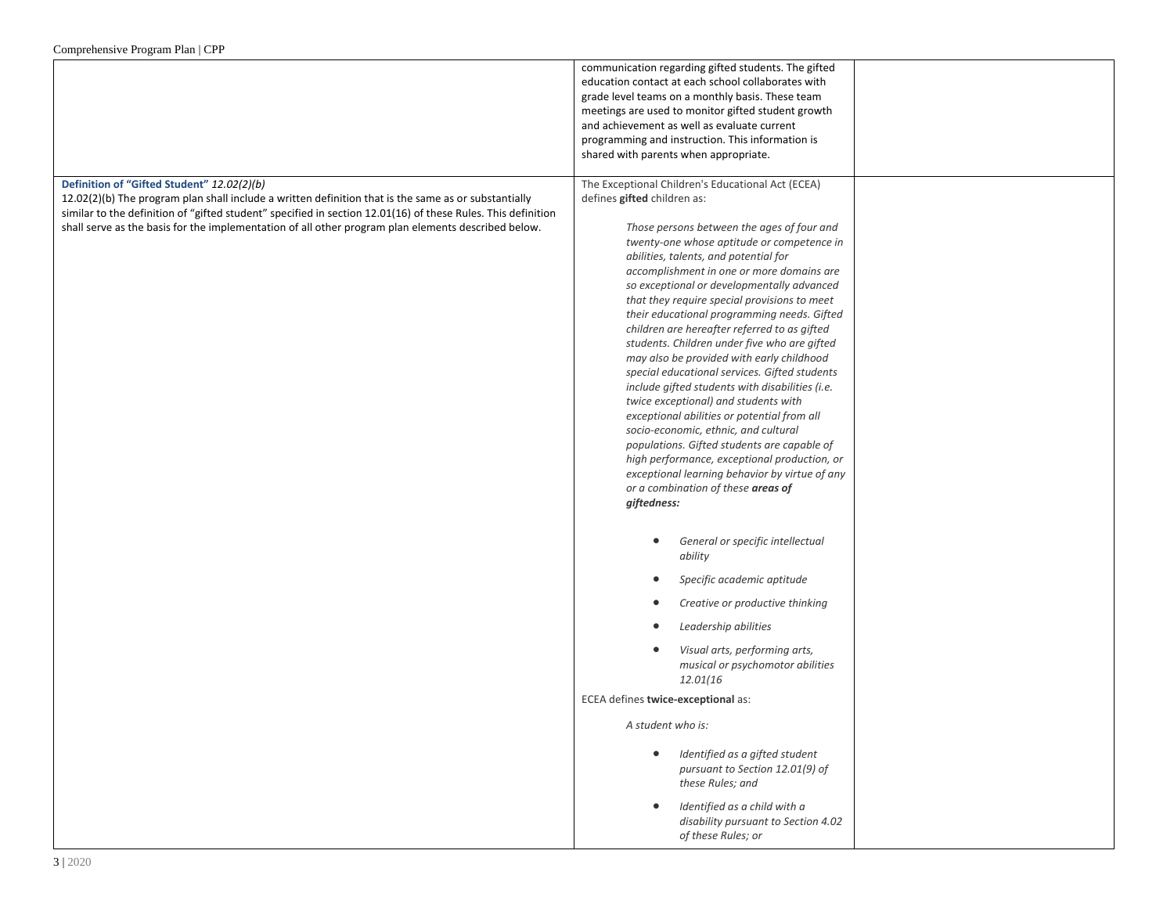|                                                                                                                                                                                                                                                                                                                                                                           | communication regarding gifted students. The gifted<br>education contact at each school collaborates with<br>grade level teams on a monthly basis. These team<br>meetings are used to monitor gifted student growth<br>and achievement as well as evaluate current<br>programming and instruction. This information is<br>shared with parents when appropriate.                                                                                                                                                                                                                                                                                                                                                                                                                                                                                                                                                                                                                                       |
|---------------------------------------------------------------------------------------------------------------------------------------------------------------------------------------------------------------------------------------------------------------------------------------------------------------------------------------------------------------------------|-------------------------------------------------------------------------------------------------------------------------------------------------------------------------------------------------------------------------------------------------------------------------------------------------------------------------------------------------------------------------------------------------------------------------------------------------------------------------------------------------------------------------------------------------------------------------------------------------------------------------------------------------------------------------------------------------------------------------------------------------------------------------------------------------------------------------------------------------------------------------------------------------------------------------------------------------------------------------------------------------------|
| Definition of "Gifted Student" 12.02(2)(b)<br>12.02(2)(b) The program plan shall include a written definition that is the same as or substantially<br>similar to the definition of "gifted student" specified in section 12.01(16) of these Rules. This definition<br>shall serve as the basis for the implementation of all other program plan elements described below. | The Exceptional Children's Educational Act (ECEA)<br>defines gifted children as:<br>Those persons between the ages of four and<br>twenty-one whose aptitude or competence in<br>abilities, talents, and potential for<br>accomplishment in one or more domains are<br>so exceptional or developmentally advanced<br>that they require special provisions to meet<br>their educational programming needs. Gifted<br>children are hereafter referred to as gifted<br>students. Children under five who are gifted<br>may also be provided with early childhood<br>special educational services. Gifted students<br>include gifted students with disabilities (i.e.<br>twice exceptional) and students with<br>exceptional abilities or potential from all<br>socio-economic, ethnic, and cultural<br>populations. Gifted students are capable of<br>high performance, exceptional production, or<br>exceptional learning behavior by virtue of any<br>or a combination of these areas of<br>giftedness: |
|                                                                                                                                                                                                                                                                                                                                                                           | General or specific intellectual<br>$\bullet$<br>ability                                                                                                                                                                                                                                                                                                                                                                                                                                                                                                                                                                                                                                                                                                                                                                                                                                                                                                                                              |
|                                                                                                                                                                                                                                                                                                                                                                           | Specific academic aptitude<br>$\bullet$<br>Creative or productive thinking<br>$\bullet$                                                                                                                                                                                                                                                                                                                                                                                                                                                                                                                                                                                                                                                                                                                                                                                                                                                                                                               |
|                                                                                                                                                                                                                                                                                                                                                                           | Leadership abilities<br>$\bullet$                                                                                                                                                                                                                                                                                                                                                                                                                                                                                                                                                                                                                                                                                                                                                                                                                                                                                                                                                                     |
|                                                                                                                                                                                                                                                                                                                                                                           | Visual arts, performing arts,<br>٠<br>musical or psychomotor abilities<br>12.01(16                                                                                                                                                                                                                                                                                                                                                                                                                                                                                                                                                                                                                                                                                                                                                                                                                                                                                                                    |
|                                                                                                                                                                                                                                                                                                                                                                           | ECEA defines twice-exceptional as:                                                                                                                                                                                                                                                                                                                                                                                                                                                                                                                                                                                                                                                                                                                                                                                                                                                                                                                                                                    |
|                                                                                                                                                                                                                                                                                                                                                                           | A student who is:                                                                                                                                                                                                                                                                                                                                                                                                                                                                                                                                                                                                                                                                                                                                                                                                                                                                                                                                                                                     |
|                                                                                                                                                                                                                                                                                                                                                                           | Identified as a gifted student<br>$\bullet$<br>pursuant to Section 12.01(9) of<br>these Rules; and                                                                                                                                                                                                                                                                                                                                                                                                                                                                                                                                                                                                                                                                                                                                                                                                                                                                                                    |
|                                                                                                                                                                                                                                                                                                                                                                           | Identified as a child with a<br>$\bullet$<br>disability pursuant to Section 4.02<br>of these Rules; or                                                                                                                                                                                                                                                                                                                                                                                                                                                                                                                                                                                                                                                                                                                                                                                                                                                                                                |
| 3 2020                                                                                                                                                                                                                                                                                                                                                                    |                                                                                                                                                                                                                                                                                                                                                                                                                                                                                                                                                                                                                                                                                                                                                                                                                                                                                                                                                                                                       |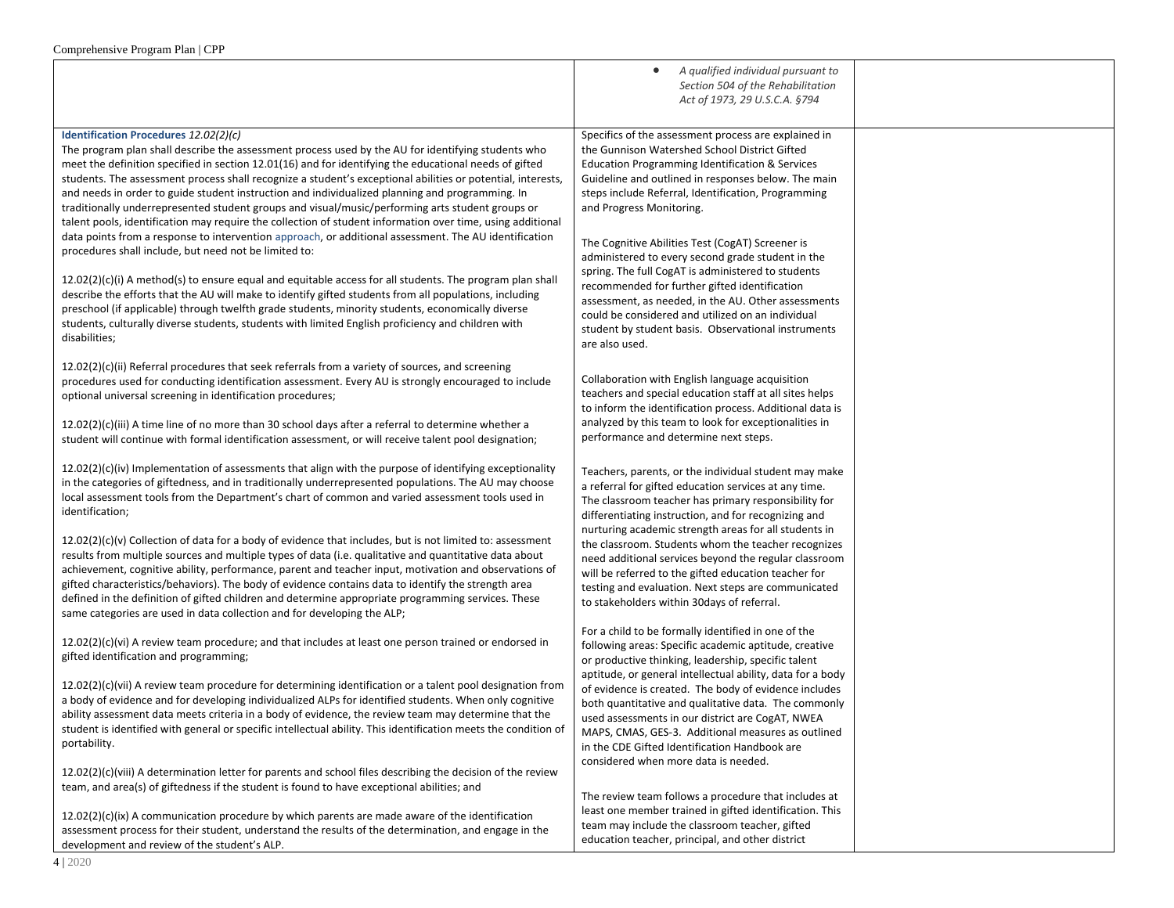|                                                                                                                                                                                                                                                                                                                                                                                                                                                                                                                                                                                                                                                                                                                                                                                                                                                                                                                                                                                                                                                                                                                                                                                                                                                                                                                 | A qualified individual pursuant to<br>$\bullet$<br>Section 504 of the Rehabilitation<br>Act of 1973, 29 U.S.C.A. §794                                                                                                                                                                                                                                                                                                                                                                                                                                                                                                                                                                                              |  |
|-----------------------------------------------------------------------------------------------------------------------------------------------------------------------------------------------------------------------------------------------------------------------------------------------------------------------------------------------------------------------------------------------------------------------------------------------------------------------------------------------------------------------------------------------------------------------------------------------------------------------------------------------------------------------------------------------------------------------------------------------------------------------------------------------------------------------------------------------------------------------------------------------------------------------------------------------------------------------------------------------------------------------------------------------------------------------------------------------------------------------------------------------------------------------------------------------------------------------------------------------------------------------------------------------------------------|--------------------------------------------------------------------------------------------------------------------------------------------------------------------------------------------------------------------------------------------------------------------------------------------------------------------------------------------------------------------------------------------------------------------------------------------------------------------------------------------------------------------------------------------------------------------------------------------------------------------------------------------------------------------------------------------------------------------|--|
| Identification Procedures 12.02(2)(c)<br>The program plan shall describe the assessment process used by the AU for identifying students who<br>meet the definition specified in section 12.01(16) and for identifying the educational needs of gifted<br>students. The assessment process shall recognize a student's exceptional abilities or potential, interests,<br>and needs in order to guide student instruction and individualized planning and programming. In<br>traditionally underrepresented student groups and visual/music/performing arts student groups or<br>talent pools, identification may require the collection of student information over time, using additional<br>data points from a response to intervention approach, or additional assessment. The AU identification<br>procedures shall include, but need not be limited to:<br>$12.02(2)(c)(i)$ A method(s) to ensure equal and equitable access for all students. The program plan shall<br>describe the efforts that the AU will make to identify gifted students from all populations, including<br>preschool (if applicable) through twelfth grade students, minority students, economically diverse<br>students, culturally diverse students, students with limited English proficiency and children with<br>disabilities; | Specifics of the assessment process are explained in<br>the Gunnison Watershed School District Gifted<br><b>Education Programming Identification &amp; Services</b><br>Guideline and outlined in responses below. The main<br>steps include Referral, Identification, Programming<br>and Progress Monitoring.<br>The Cognitive Abilities Test (CogAT) Screener is<br>administered to every second grade student in the<br>spring. The full CogAT is administered to students<br>recommended for further gifted identification<br>assessment, as needed, in the AU. Other assessments<br>could be considered and utilized on an individual<br>student by student basis. Observational instruments<br>are also used. |  |
| $12.02(2)(c)(ii)$ Referral procedures that seek referrals from a variety of sources, and screening<br>procedures used for conducting identification assessment. Every AU is strongly encouraged to include<br>optional universal screening in identification procedures;<br>12.02(2)(c)(iii) A time line of no more than 30 school days after a referral to determine whether a<br>student will continue with formal identification assessment, or will receive talent pool designation;                                                                                                                                                                                                                                                                                                                                                                                                                                                                                                                                                                                                                                                                                                                                                                                                                        | Collaboration with English language acquisition<br>teachers and special education staff at all sites helps<br>to inform the identification process. Additional data is<br>analyzed by this team to look for exceptionalities in<br>performance and determine next steps.                                                                                                                                                                                                                                                                                                                                                                                                                                           |  |
| $12.02(2)(c)(iv)$ Implementation of assessments that align with the purpose of identifying exceptionality<br>in the categories of giftedness, and in traditionally underrepresented populations. The AU may choose<br>local assessment tools from the Department's chart of common and varied assessment tools used in<br>identification;                                                                                                                                                                                                                                                                                                                                                                                                                                                                                                                                                                                                                                                                                                                                                                                                                                                                                                                                                                       | Teachers, parents, or the individual student may make<br>a referral for gifted education services at any time.<br>The classroom teacher has primary responsibility for<br>differentiating instruction, and for recognizing and<br>nurturing academic strength areas for all students in                                                                                                                                                                                                                                                                                                                                                                                                                            |  |
| $12.02(2)(c)(v)$ Collection of data for a body of evidence that includes, but is not limited to: assessment<br>results from multiple sources and multiple types of data (i.e. qualitative and quantitative data about<br>achievement, cognitive ability, performance, parent and teacher input, motivation and observations of<br>gifted characteristics/behaviors). The body of evidence contains data to identify the strength area<br>defined in the definition of gifted children and determine appropriate programming services. These<br>same categories are used in data collection and for developing the ALP;                                                                                                                                                                                                                                                                                                                                                                                                                                                                                                                                                                                                                                                                                          | the classroom. Students whom the teacher recognizes<br>need additional services beyond the regular classroom<br>will be referred to the gifted education teacher for<br>testing and evaluation. Next steps are communicated<br>to stakeholders within 30days of referral.                                                                                                                                                                                                                                                                                                                                                                                                                                          |  |
| $12.02(2)(c)(vi)$ A review team procedure; and that includes at least one person trained or endorsed in<br>gifted identification and programming;                                                                                                                                                                                                                                                                                                                                                                                                                                                                                                                                                                                                                                                                                                                                                                                                                                                                                                                                                                                                                                                                                                                                                               | For a child to be formally identified in one of the<br>following areas: Specific academic aptitude, creative<br>or productive thinking, leadership, specific talent                                                                                                                                                                                                                                                                                                                                                                                                                                                                                                                                                |  |
| $12.02(2)(c)(vi)$ A review team procedure for determining identification or a talent pool designation from<br>a body of evidence and for developing individualized ALPs for identified students. When only cognitive<br>ability assessment data meets criteria in a body of evidence, the review team may determine that the<br>student is identified with general or specific intellectual ability. This identification meets the condition of<br>portability.                                                                                                                                                                                                                                                                                                                                                                                                                                                                                                                                                                                                                                                                                                                                                                                                                                                 | aptitude, or general intellectual ability, data for a body<br>of evidence is created. The body of evidence includes<br>both quantitative and qualitative data. The commonly<br>used assessments in our district are CogAT, NWEA<br>MAPS, CMAS, GES-3. Additional measures as outlined<br>in the CDE Gifted Identification Handbook are<br>considered when more data is needed.                                                                                                                                                                                                                                                                                                                                     |  |
| $12.02(2)(c)($ viii) A determination letter for parents and school files describing the decision of the review<br>team, and area(s) of giftedness if the student is found to have exceptional abilities; and                                                                                                                                                                                                                                                                                                                                                                                                                                                                                                                                                                                                                                                                                                                                                                                                                                                                                                                                                                                                                                                                                                    | The review team follows a procedure that includes at                                                                                                                                                                                                                                                                                                                                                                                                                                                                                                                                                                                                                                                               |  |
| $12.02(2)(c)(ix)$ A communication procedure by which parents are made aware of the identification<br>assessment process for their student, understand the results of the determination, and engage in the<br>development and review of the student's ALP.                                                                                                                                                                                                                                                                                                                                                                                                                                                                                                                                                                                                                                                                                                                                                                                                                                                                                                                                                                                                                                                       | least one member trained in gifted identification. This<br>team may include the classroom teacher, gifted<br>education teacher, principal, and other district                                                                                                                                                                                                                                                                                                                                                                                                                                                                                                                                                      |  |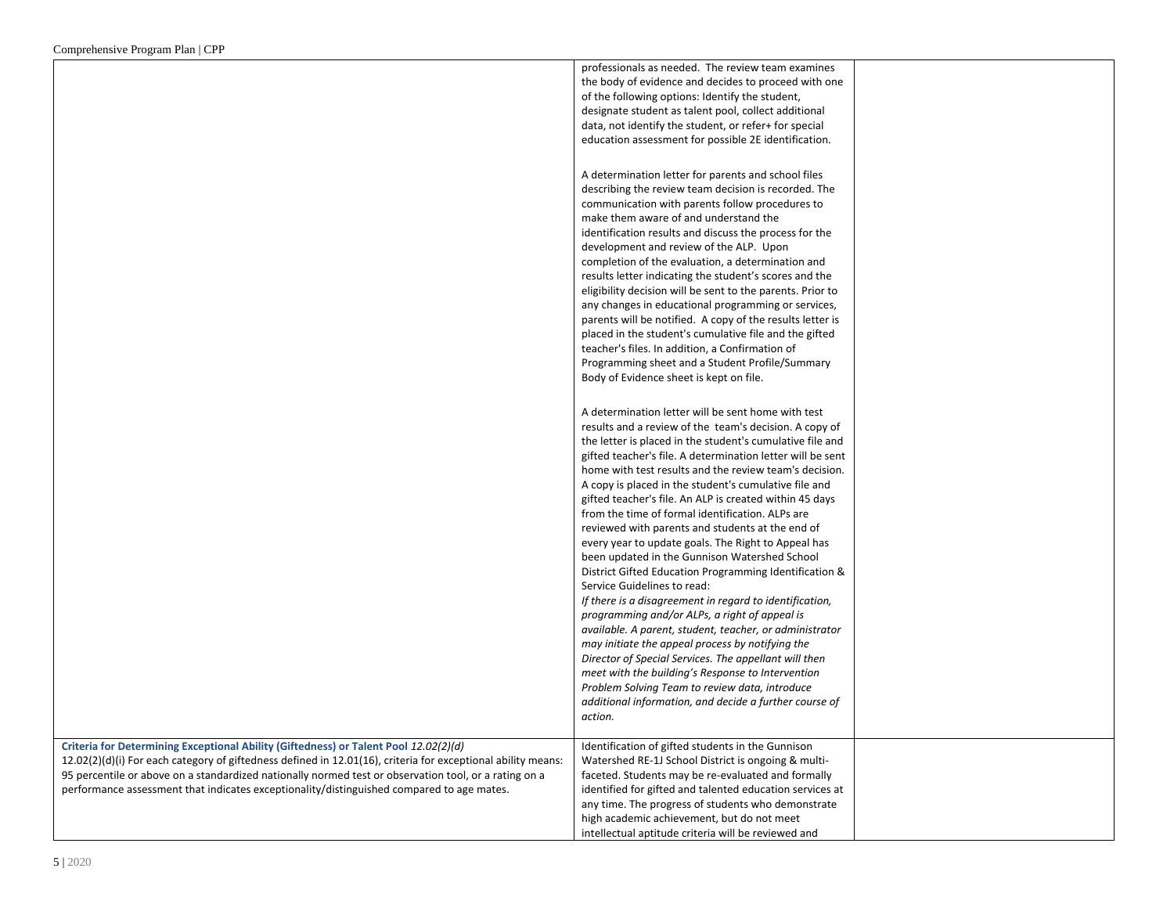|                                                                                                              | professionals as needed. The review team examines          |  |
|--------------------------------------------------------------------------------------------------------------|------------------------------------------------------------|--|
|                                                                                                              | the body of evidence and decides to proceed with one       |  |
|                                                                                                              | of the following options: Identify the student,            |  |
|                                                                                                              | designate student as talent pool, collect additional       |  |
|                                                                                                              |                                                            |  |
|                                                                                                              | data, not identify the student, or refer+ for special      |  |
|                                                                                                              | education assessment for possible 2E identification.       |  |
|                                                                                                              |                                                            |  |
|                                                                                                              | A determination letter for parents and school files        |  |
|                                                                                                              | describing the review team decision is recorded. The       |  |
|                                                                                                              | communication with parents follow procedures to            |  |
|                                                                                                              | make them aware of and understand the                      |  |
|                                                                                                              | identification results and discuss the process for the     |  |
|                                                                                                              | development and review of the ALP. Upon                    |  |
|                                                                                                              | completion of the evaluation, a determination and          |  |
|                                                                                                              | results letter indicating the student's scores and the     |  |
|                                                                                                              | eligibility decision will be sent to the parents. Prior to |  |
|                                                                                                              | any changes in educational programming or services,        |  |
|                                                                                                              | parents will be notified. A copy of the results letter is  |  |
|                                                                                                              | placed in the student's cumulative file and the gifted     |  |
|                                                                                                              | teacher's files. In addition, a Confirmation of            |  |
|                                                                                                              | Programming sheet and a Student Profile/Summary            |  |
|                                                                                                              | Body of Evidence sheet is kept on file.                    |  |
|                                                                                                              |                                                            |  |
|                                                                                                              | A determination letter will be sent home with test         |  |
|                                                                                                              | results and a review of the team's decision. A copy of     |  |
|                                                                                                              | the letter is placed in the student's cumulative file and  |  |
|                                                                                                              | gifted teacher's file. A determination letter will be sent |  |
|                                                                                                              | home with test results and the review team's decision.     |  |
|                                                                                                              | A copy is placed in the student's cumulative file and      |  |
|                                                                                                              | gifted teacher's file. An ALP is created within 45 days    |  |
|                                                                                                              | from the time of formal identification. ALPs are           |  |
|                                                                                                              | reviewed with parents and students at the end of           |  |
|                                                                                                              | every year to update goals. The Right to Appeal has        |  |
|                                                                                                              | been updated in the Gunnison Watershed School              |  |
|                                                                                                              |                                                            |  |
|                                                                                                              | District Gifted Education Programming Identification &     |  |
|                                                                                                              | Service Guidelines to read:                                |  |
|                                                                                                              | If there is a disagreement in regard to identification,    |  |
|                                                                                                              | programming and/or ALPs, a right of appeal is              |  |
|                                                                                                              | available. A parent, student, teacher, or administrator    |  |
|                                                                                                              | may initiate the appeal process by notifying the           |  |
|                                                                                                              | Director of Special Services. The appellant will then      |  |
|                                                                                                              | meet with the building's Response to Intervention          |  |
|                                                                                                              | Problem Solving Team to review data, introduce             |  |
|                                                                                                              | additional information, and decide a further course of     |  |
|                                                                                                              | action.                                                    |  |
| Criteria for Determining Exceptional Ability (Giftedness) or Talent Pool 12.02(2)(d)                         | Identification of gifted students in the Gunnison          |  |
| 12.02(2)(d)(i) For each category of giftedness defined in 12.01(16), criteria for exceptional ability means: | Watershed RE-1J School District is ongoing & multi-        |  |
| 95 percentile or above on a standardized nationally normed test or observation tool, or a rating on a        |                                                            |  |
|                                                                                                              | faceted. Students may be re-evaluated and formally         |  |
| performance assessment that indicates exceptionality/distinguished compared to age mates.                    | identified for gifted and talented education services at   |  |
|                                                                                                              | any time. The progress of students who demonstrate         |  |
|                                                                                                              | high academic achievement, but do not meet                 |  |
|                                                                                                              | intellectual aptitude criteria will be reviewed and        |  |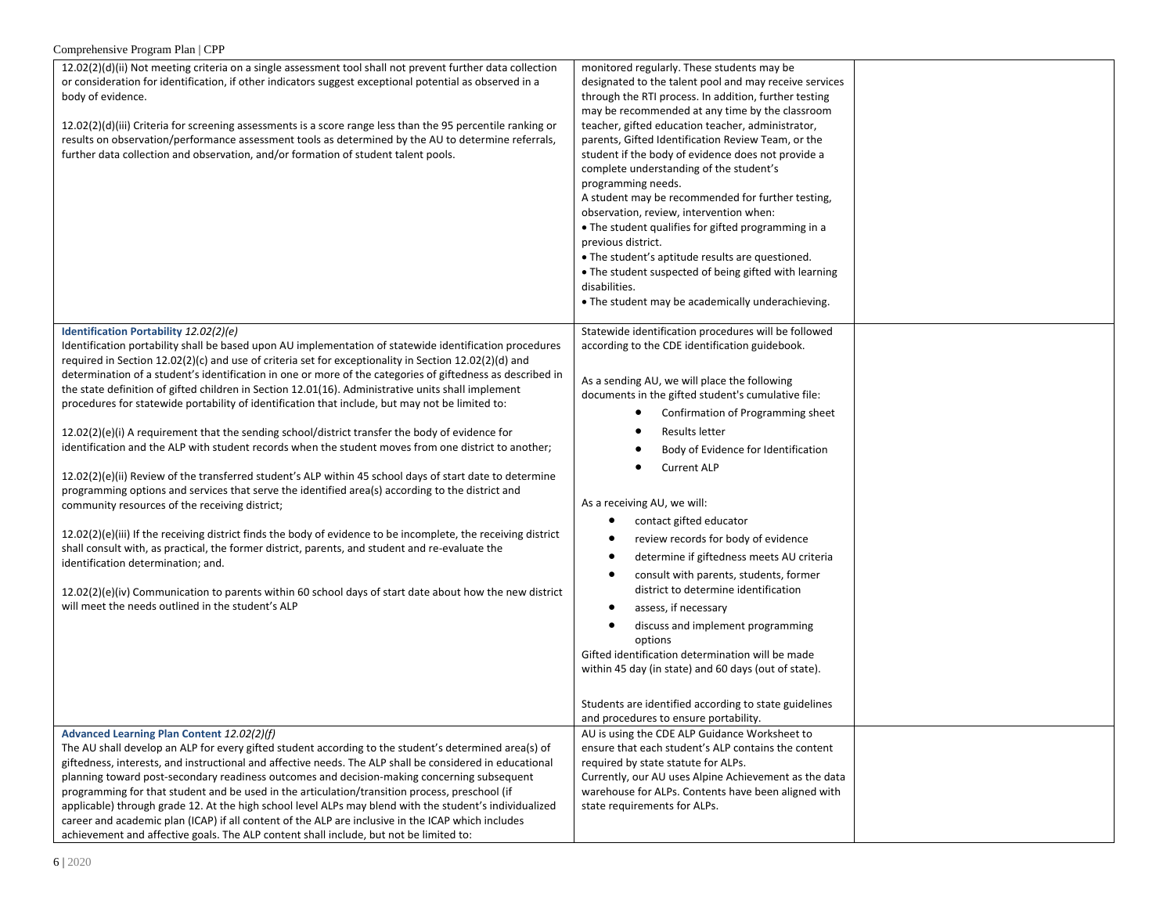| 12.02(2)(d)(ii) Not meeting criteria on a single assessment tool shall not prevent further data collection<br>or consideration for identification, if other indicators suggest exceptional potential as observed in a<br>body of evidence.<br>12.02(2)(d)(iii) Criteria for screening assessments is a score range less than the 95 percentile ranking or<br>results on observation/performance assessment tools as determined by the AU to determine referrals,<br>further data collection and observation, and/or formation of student talent pools.                                                                                                                                                                                                                                                                                                                                                                                                                                                                                                                                                                                                                                                                                                                                                                                                                                                                                                                                    | monitored regularly. These students may be<br>designated to the talent pool and may receive services<br>through the RTI process. In addition, further testing<br>may be recommended at any time by the classroom<br>teacher, gifted education teacher, administrator,<br>parents, Gifted Identification Review Team, or the<br>student if the body of evidence does not provide a<br>complete understanding of the student's<br>programming needs.<br>A student may be recommended for further testing,<br>observation, review, intervention when:<br>• The student qualifies for gifted programming in a<br>previous district.<br>• The student's aptitude results are questioned.<br>• The student suspected of being gifted with learning<br>disabilities.<br>• The student may be academically underachieving. |  |
|-------------------------------------------------------------------------------------------------------------------------------------------------------------------------------------------------------------------------------------------------------------------------------------------------------------------------------------------------------------------------------------------------------------------------------------------------------------------------------------------------------------------------------------------------------------------------------------------------------------------------------------------------------------------------------------------------------------------------------------------------------------------------------------------------------------------------------------------------------------------------------------------------------------------------------------------------------------------------------------------------------------------------------------------------------------------------------------------------------------------------------------------------------------------------------------------------------------------------------------------------------------------------------------------------------------------------------------------------------------------------------------------------------------------------------------------------------------------------------------------|--------------------------------------------------------------------------------------------------------------------------------------------------------------------------------------------------------------------------------------------------------------------------------------------------------------------------------------------------------------------------------------------------------------------------------------------------------------------------------------------------------------------------------------------------------------------------------------------------------------------------------------------------------------------------------------------------------------------------------------------------------------------------------------------------------------------|--|
|                                                                                                                                                                                                                                                                                                                                                                                                                                                                                                                                                                                                                                                                                                                                                                                                                                                                                                                                                                                                                                                                                                                                                                                                                                                                                                                                                                                                                                                                                           |                                                                                                                                                                                                                                                                                                                                                                                                                                                                                                                                                                                                                                                                                                                                                                                                                    |  |
| Identification Portability 12.02(2)(e)<br>Identification portability shall be based upon AU implementation of statewide identification procedures<br>required in Section 12.02(2)(c) and use of criteria set for exceptionality in Section 12.02(2)(d) and<br>determination of a student's identification in one or more of the categories of giftedness as described in<br>the state definition of gifted children in Section 12.01(16). Administrative units shall implement<br>procedures for statewide portability of identification that include, but may not be limited to:<br>12.02(2)(e)(i) A requirement that the sending school/district transfer the body of evidence for<br>identification and the ALP with student records when the student moves from one district to another;<br>12.02(2)(e)(ii) Review of the transferred student's ALP within 45 school days of start date to determine<br>programming options and services that serve the identified area(s) according to the district and<br>community resources of the receiving district;<br>12.02(2)(e)(iii) If the receiving district finds the body of evidence to be incomplete, the receiving district<br>shall consult with, as practical, the former district, parents, and student and re-evaluate the<br>identification determination; and.<br>12.02(2)(e)(iv) Communication to parents within 60 school days of start date about how the new district<br>will meet the needs outlined in the student's ALP | Statewide identification procedures will be followed<br>according to the CDE identification guidebook.<br>As a sending AU, we will place the following<br>documents in the gifted student's cumulative file:<br>Confirmation of Programming sheet<br><b>Results letter</b><br>Body of Evidence for Identification<br><b>Current ALP</b><br>As a receiving AU, we will:<br>contact gifted educator<br>review records for body of evidence<br>$\bullet$<br>determine if giftedness meets AU criteria<br>$\bullet$<br>consult with parents, students, former<br>$\bullet$<br>district to determine identification<br>assess, if necessary<br>$\bullet$<br>discuss and implement programming<br>options<br>Gifted identification determination will be made<br>within 45 day (in state) and 60 days (out of state).    |  |
|                                                                                                                                                                                                                                                                                                                                                                                                                                                                                                                                                                                                                                                                                                                                                                                                                                                                                                                                                                                                                                                                                                                                                                                                                                                                                                                                                                                                                                                                                           | Students are identified according to state guidelines                                                                                                                                                                                                                                                                                                                                                                                                                                                                                                                                                                                                                                                                                                                                                              |  |
|                                                                                                                                                                                                                                                                                                                                                                                                                                                                                                                                                                                                                                                                                                                                                                                                                                                                                                                                                                                                                                                                                                                                                                                                                                                                                                                                                                                                                                                                                           | and procedures to ensure portability.                                                                                                                                                                                                                                                                                                                                                                                                                                                                                                                                                                                                                                                                                                                                                                              |  |
| Advanced Learning Plan Content 12.02(2)(f)<br>The AU shall develop an ALP for every gifted student according to the student's determined area(s) of<br>giftedness, interests, and instructional and affective needs. The ALP shall be considered in educational<br>planning toward post-secondary readiness outcomes and decision-making concerning subsequent<br>programming for that student and be used in the articulation/transition process, preschool (if<br>applicable) through grade 12. At the high school level ALPs may blend with the student's individualized<br>career and academic plan (ICAP) if all content of the ALP are inclusive in the ICAP which includes<br>achievement and affective goals. The ALP content shall include, but not be limited to:                                                                                                                                                                                                                                                                                                                                                                                                                                                                                                                                                                                                                                                                                                               | AU is using the CDE ALP Guidance Worksheet to<br>ensure that each student's ALP contains the content<br>required by state statute for ALPs.<br>Currently, our AU uses Alpine Achievement as the data<br>warehouse for ALPs. Contents have been aligned with<br>state requirements for ALPs.                                                                                                                                                                                                                                                                                                                                                                                                                                                                                                                        |  |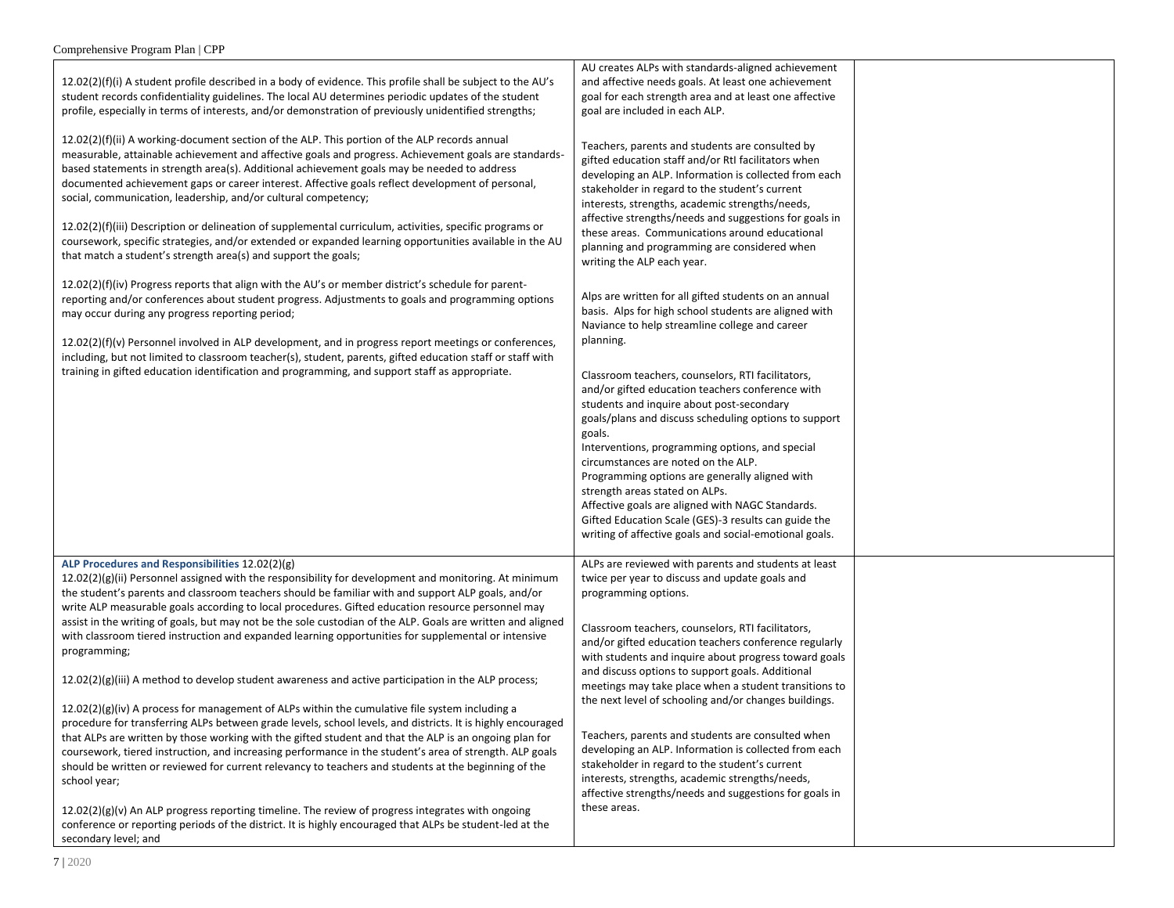| $12.02(2)(f)(i)$ A student profile described in a body of evidence. This profile shall be subject to the AU's<br>student records confidentiality guidelines. The local AU determines periodic updates of the student<br>profile, especially in terms of interests, and/or demonstration of previously unidentified strengths;                                                                                                                                                                                                                                                                                                                                                                                                                                                                                                                                                                                                                                                                                                                                                                                                                                                                                                                                                                                                                                                                                                                                                                                                 | AU creates ALPs with standards-aligned achievement<br>and affective needs goals. At least one achievement<br>goal for each strength area and at least one affective<br>goal are included in each ALP.                                                                                                                                                                                                                                                                                                                                                                                                                                                                                                                                                                    |  |
|-------------------------------------------------------------------------------------------------------------------------------------------------------------------------------------------------------------------------------------------------------------------------------------------------------------------------------------------------------------------------------------------------------------------------------------------------------------------------------------------------------------------------------------------------------------------------------------------------------------------------------------------------------------------------------------------------------------------------------------------------------------------------------------------------------------------------------------------------------------------------------------------------------------------------------------------------------------------------------------------------------------------------------------------------------------------------------------------------------------------------------------------------------------------------------------------------------------------------------------------------------------------------------------------------------------------------------------------------------------------------------------------------------------------------------------------------------------------------------------------------------------------------------|--------------------------------------------------------------------------------------------------------------------------------------------------------------------------------------------------------------------------------------------------------------------------------------------------------------------------------------------------------------------------------------------------------------------------------------------------------------------------------------------------------------------------------------------------------------------------------------------------------------------------------------------------------------------------------------------------------------------------------------------------------------------------|--|
| 12.02(2)(f)(ii) A working-document section of the ALP. This portion of the ALP records annual<br>measurable, attainable achievement and affective goals and progress. Achievement goals are standards-<br>based statements in strength area(s). Additional achievement goals may be needed to address<br>documented achievement gaps or career interest. Affective goals reflect development of personal,<br>social, communication, leadership, and/or cultural competency;<br>12.02(2)(f)(iii) Description or delineation of supplemental curriculum, activities, specific programs or<br>coursework, specific strategies, and/or extended or expanded learning opportunities available in the AU<br>that match a student's strength area(s) and support the goals;                                                                                                                                                                                                                                                                                                                                                                                                                                                                                                                                                                                                                                                                                                                                                          | Teachers, parents and students are consulted by<br>gifted education staff and/or RtI facilitators when<br>developing an ALP. Information is collected from each<br>stakeholder in regard to the student's current<br>interests, strengths, academic strengths/needs,<br>affective strengths/needs and suggestions for goals in<br>these areas. Communications around educational<br>planning and programming are considered when<br>writing the ALP each year.                                                                                                                                                                                                                                                                                                           |  |
| 12.02(2)(f)(iv) Progress reports that align with the AU's or member district's schedule for parent-<br>reporting and/or conferences about student progress. Adjustments to goals and programming options<br>may occur during any progress reporting period;<br>(original monogers report metaporation) 12.02(1) 12.02(1) 12.02(1) 12.02(1) 12.02(2)(1) 12.02(2)(1)<br>including, but not limited to classroom teacher(s), student, parents, gifted education staff or staff with<br>training in gifted education identification and programming, and support staff as appropriate.                                                                                                                                                                                                                                                                                                                                                                                                                                                                                                                                                                                                                                                                                                                                                                                                                                                                                                                                            | Alps are written for all gifted students on an annual<br>basis. Alps for high school students are aligned with<br>Naviance to help streamline college and career<br>planning.<br>Classroom teachers, counselors, RTI facilitators,<br>and/or gifted education teachers conference with<br>students and inquire about post-secondary<br>goals/plans and discuss scheduling options to support<br>goals.<br>Interventions, programming options, and special<br>circumstances are noted on the ALP.<br>Programming options are generally aligned with<br>strength areas stated on ALPs.<br>Affective goals are aligned with NAGC Standards.<br>Gifted Education Scale (GES)-3 results can guide the<br>writing of affective goals and social-emotional goals.               |  |
| ALP Procedures and Responsibilities 12.02(2)(g)<br>$12.02(2)(g)(ii)$ Personnel assigned with the responsibility for development and monitoring. At minimum<br>the student's parents and classroom teachers should be familiar with and support ALP goals, and/or<br>write ALP measurable goals according to local procedures. Gifted education resource personnel may<br>assist in the writing of goals, but may not be the sole custodian of the ALP. Goals are written and aligned<br>with classroom tiered instruction and expanded learning opportunities for supplemental or intensive<br>programming;<br>$12.02(2)(g)(iii)$ A method to develop student awareness and active participation in the ALP process;<br>12.02(2)(g)(iv) A process for management of ALPs within the cumulative file system including a<br>procedure for transferring ALPs between grade levels, school levels, and districts. It is highly encouraged<br>that ALPs are written by those working with the gifted student and that the ALP is an ongoing plan for<br>coursework, tiered instruction, and increasing performance in the student's area of strength. ALP goals<br>should be written or reviewed for current relevancy to teachers and students at the beginning of the<br>school year;<br>$12.02(2)(g)(v)$ An ALP progress reporting timeline. The review of progress integrates with ongoing<br>conference or reporting periods of the district. It is highly encouraged that ALPs be student-led at the<br>secondary level; and | ALPs are reviewed with parents and students at least<br>twice per year to discuss and update goals and<br>programming options.<br>Classroom teachers, counselors, RTI facilitators,<br>and/or gifted education teachers conference regularly<br>with students and inquire about progress toward goals<br>and discuss options to support goals. Additional<br>meetings may take place when a student transitions to<br>the next level of schooling and/or changes buildings.<br>Teachers, parents and students are consulted when<br>developing an ALP. Information is collected from each<br>stakeholder in regard to the student's current<br>interests, strengths, academic strengths/needs,<br>affective strengths/needs and suggestions for goals in<br>these areas. |  |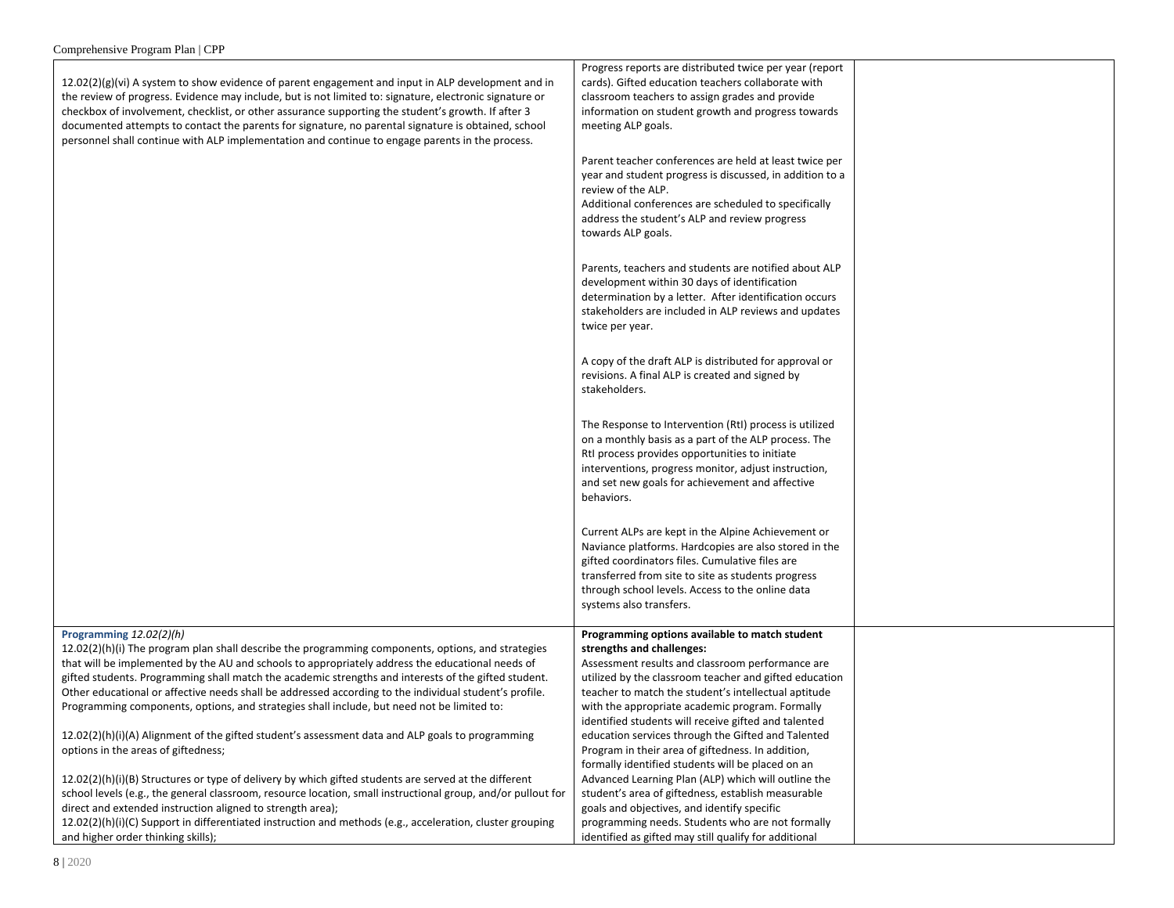| $12.02(2)(g)(vi)$ A system to show evidence of parent engagement and input in ALP development and in<br>the review of progress. Evidence may include, but is not limited to: signature, electronic signature or<br>checkbox of involvement, checklist, or other assurance supporting the student's growth. If after 3<br>documented attempts to contact the parents for signature, no parental signature is obtained, school<br>personnel shall continue with ALP implementation and continue to engage parents in the process.                     | Progress reports are distributed twice per year (report<br>cards). Gifted education teachers collaborate with<br>classroom teachers to assign grades and provide<br>information on student growth and progress towards<br>meeting ALP goals.                                                                                                                 |  |
|-----------------------------------------------------------------------------------------------------------------------------------------------------------------------------------------------------------------------------------------------------------------------------------------------------------------------------------------------------------------------------------------------------------------------------------------------------------------------------------------------------------------------------------------------------|--------------------------------------------------------------------------------------------------------------------------------------------------------------------------------------------------------------------------------------------------------------------------------------------------------------------------------------------------------------|--|
|                                                                                                                                                                                                                                                                                                                                                                                                                                                                                                                                                     | Parent teacher conferences are held at least twice per<br>year and student progress is discussed, in addition to a<br>review of the ALP.<br>Additional conferences are scheduled to specifically<br>address the student's ALP and review progress<br>towards ALP goals.                                                                                      |  |
|                                                                                                                                                                                                                                                                                                                                                                                                                                                                                                                                                     | Parents, teachers and students are notified about ALP<br>development within 30 days of identification<br>determination by a letter. After identification occurs<br>stakeholders are included in ALP reviews and updates<br>twice per year.                                                                                                                   |  |
|                                                                                                                                                                                                                                                                                                                                                                                                                                                                                                                                                     | A copy of the draft ALP is distributed for approval or<br>revisions. A final ALP is created and signed by<br>stakeholders.                                                                                                                                                                                                                                   |  |
|                                                                                                                                                                                                                                                                                                                                                                                                                                                                                                                                                     | The Response to Intervention (RtI) process is utilized<br>on a monthly basis as a part of the ALP process. The<br>Rtl process provides opportunities to initiate<br>interventions, progress monitor, adjust instruction,<br>and set new goals for achievement and affective<br>behaviors.                                                                    |  |
|                                                                                                                                                                                                                                                                                                                                                                                                                                                                                                                                                     | Current ALPs are kept in the Alpine Achievement or<br>Naviance platforms. Hardcopies are also stored in the<br>gifted coordinators files. Cumulative files are<br>transferred from site to site as students progress<br>through school levels. Access to the online data<br>systems also transfers.                                                          |  |
| Programming 12.02(2)(h)<br>$12.02(2)(h)(i)$ The program plan shall describe the programming components, options, and strategies<br>that will be implemented by the AU and schools to appropriately address the educational needs of<br>gifted students. Programming shall match the academic strengths and interests of the gifted student.<br>Other educational or affective needs shall be addressed according to the individual student's profile.<br>Programming components, options, and strategies shall include, but need not be limited to: | Programming options available to match student<br>strengths and challenges:<br>Assessment results and classroom performance are<br>utilized by the classroom teacher and gifted education<br>teacher to match the student's intellectual aptitude<br>with the appropriate academic program. Formally<br>identified students will receive gifted and talented |  |
| 12.02(2)(h)(i)(A) Alignment of the gifted student's assessment data and ALP goals to programming<br>options in the areas of giftedness;                                                                                                                                                                                                                                                                                                                                                                                                             | education services through the Gifted and Talented<br>Program in their area of giftedness. In addition,<br>formally identified students will be placed on an                                                                                                                                                                                                 |  |
| 12.02(2)(h)(i)(B) Structures or type of delivery by which gifted students are served at the different<br>school levels (e.g., the general classroom, resource location, small instructional group, and/or pullout for<br>direct and extended instruction aligned to strength area);<br>12.02(2)(h)(i)(C) Support in differentiated instruction and methods (e.g., acceleration, cluster grouping                                                                                                                                                    | Advanced Learning Plan (ALP) which will outline the<br>student's area of giftedness, establish measurable<br>goals and objectives, and identify specific<br>programming needs. Students who are not formally                                                                                                                                                 |  |
| and higher order thinking skills);                                                                                                                                                                                                                                                                                                                                                                                                                                                                                                                  | identified as gifted may still qualify for additional                                                                                                                                                                                                                                                                                                        |  |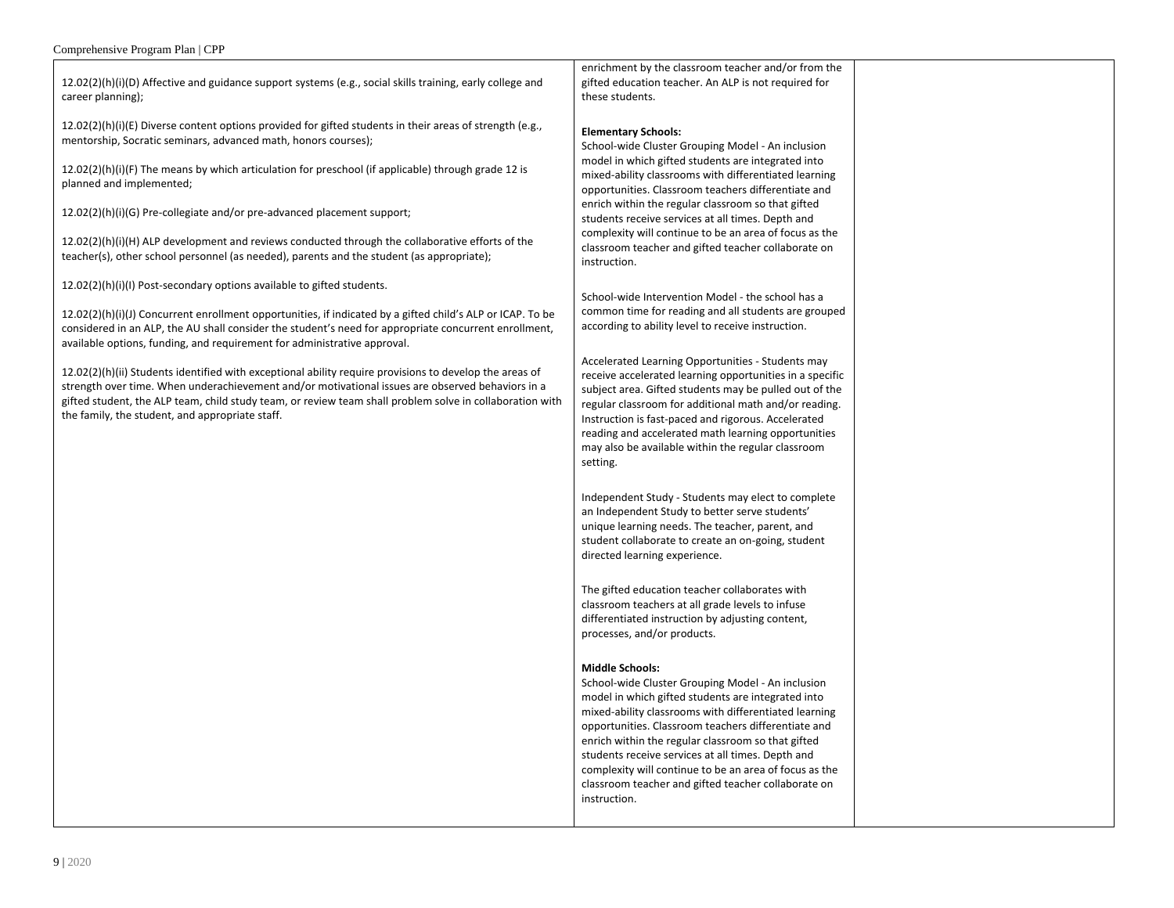12.02(2)(h)(i)(D) Affective and guidance support systems (e.g., social skills training, early college and career planning);

12.02(2)(h)(i)(E) Diverse content options provided for gifted students in their areas of strength (e.g., mentorship, Socratic seminars, advanced math, honors courses);

12.02(2)(h)(i)(F) The means by which articulation for preschool (if applicable) through grade 12 is planned and implemented;

12.02(2)(h)(i)(G) Pre-collegiate and/or pre-advanced placement support;

12.02(2)(h)(i)(H) ALP development and reviews conducted through the collaborative efforts of the teacher(s), other school personnel (as needed), parents and the student (as appropriate);

12.02(2)(h)(i)(I) Post-secondary options available to gifted students.

12.02(2)(h)(i)(J) Concurrent enrollment opportunities, if indicated by a gifted child's ALP or ICAP. To be considered in an ALP, the AU shall consider the student's need for appropriate concurrent enrollment, available options, funding, and requirement for administrative approval.

12.02(2)(h)(ii) Students identified with exceptional ability require provisions to develop the areas of strength over time. When underachievement and/or motivational issues are observed behaviors in a gifted student, the ALP team, child study team, or review team shall problem solve in collaboration with the family, the student, and appropriate staff.

enrichment by the classroom teacher and/or from the gifted education teacher. An ALP is not required for these students.

#### **Elementary Schools:**

School-wide Cluster Grouping Model - An inclusion model in which gifted students are integrated into mixed-ability classrooms with differentiated learning opportunities. Classroom teachers differentiate and enrich within the regular classroom so that gifted students receive services at all times. Depth and complexity will continue to be an area of focus as the classroom teacher and gifted teacher collaborate on instruction.

School-wide Intervention Model - the school has a common time for reading and all students are grouped according to ability level to receive instruction.

Accelerated Learning Opportunities - Students may receive accelerated learning opportunities in a specific subject area. Gifted students may be pulled out of the regular classroom for additional math and/or reading. Instruction is fast-paced and rigorous. Accelerated reading and accelerated math learning opportunities may also be available within the regular classroom setting.

Independent Study - Students may elect to complete an Independent Study to better serve students' unique learning needs. The teacher, parent, and student collaborate to create an on-going, student directed learning experience.

The gifted education teacher collaborates with classroom teachers at all grade levels to infuse differentiated instruction by adjusting content, processes, and/or products.

#### **Middle Schools:**

School-wide Cluster Grouping Model - An inclusion model in which gifted students are integrated into mixed-ability classrooms with differentiated learning opportunities. Classroom teachers differentiate and enrich within the regular classroom so that gifted students receive services at all times. Depth and complexity will continue to be an area of focus as the classroom teacher and gifted teacher collaborate on instruction.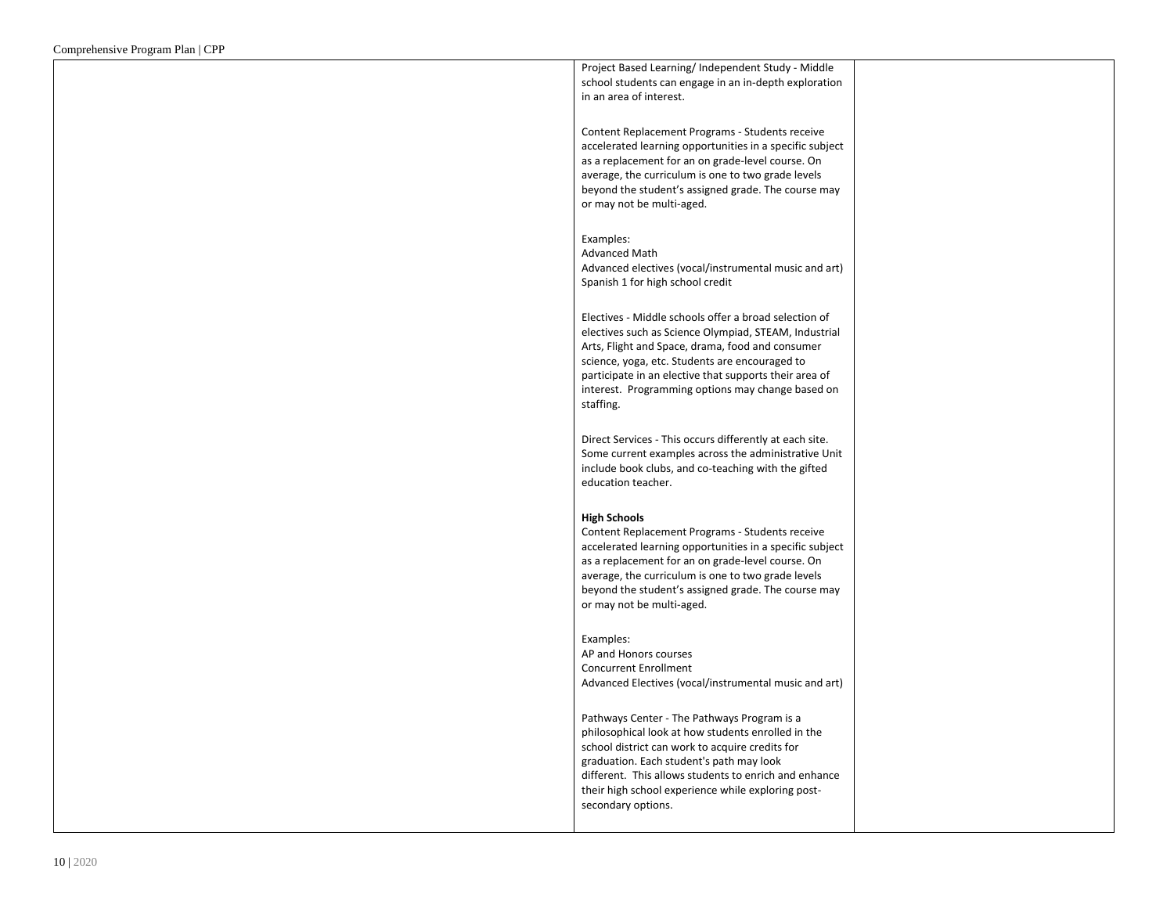Project Based Learning/ Independent Study - Middle school students can engage in an in-depth exploration in an area of interest.

Content Replacement Programs - Students receive accelerated learning opportunities in a specific subject as a replacement for an on grade-level course. On average, the curriculum is one to two grade levels beyond the student's assigned grade. The course may or may not be multi-aged.

Examples:

Advanced Math Advanced electives (vocal/instrumental music and art) Spanish 1 for high school credit

Electives - Middle schools offer a broad selection of electives such as Science Olympiad, STEAM, Industrial Arts, Flight and Space, drama, food and consumer science, yoga, etc. Students are encouraged to participate in an elective that supports their area of interest. Programming options may change based on staffing.

Direct Services - This occurs differently at each site. Some current examples across the administrative Unit include book clubs, and co-teaching with the gifted education teacher.

#### **High Schools**

Content Replacement Programs - Students receive accelerated learning opportunities in a specific subject as a replacement for an on grade-level course. On average, the curriculum is one to two grade levels beyond the student's assigned grade. The course may or may not be multi-aged.

Examples:

AP and Honors courses Concurrent Enrollment Advanced Electives (vocal/instrumental music and art)

Pathways Center - The Pathways Program is a philosophical look at how students enrolled in the school district can work to acquire credits for graduation. Each student's path may look different. This allows students to enrich and enhance their high school experience while exploring postsecondary options.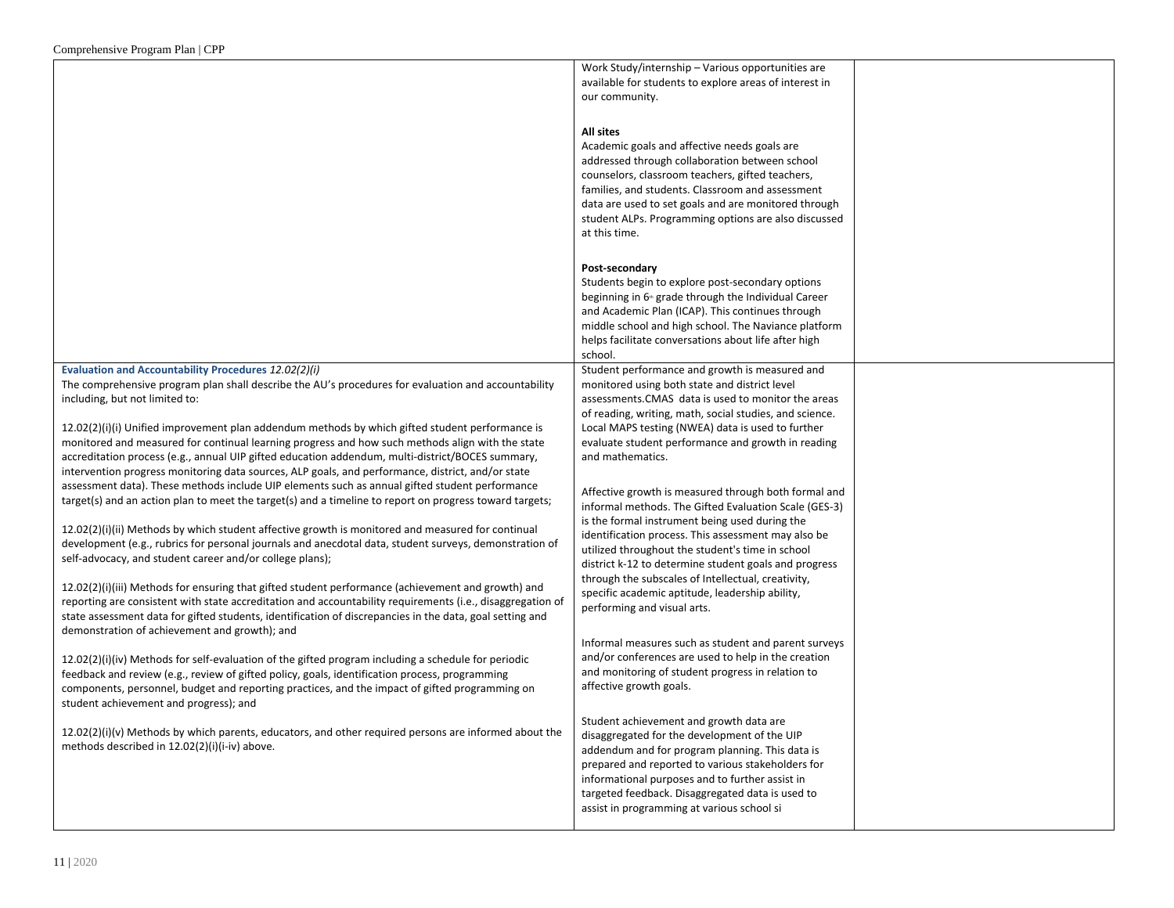|                                                                                                            | Work Study/internship - Various opportunities are                |  |
|------------------------------------------------------------------------------------------------------------|------------------------------------------------------------------|--|
|                                                                                                            | available for students to explore areas of interest in           |  |
|                                                                                                            |                                                                  |  |
|                                                                                                            | our community.                                                   |  |
|                                                                                                            |                                                                  |  |
|                                                                                                            | <b>All sites</b>                                                 |  |
|                                                                                                            |                                                                  |  |
|                                                                                                            | Academic goals and affective needs goals are                     |  |
|                                                                                                            | addressed through collaboration between school                   |  |
|                                                                                                            | counselors, classroom teachers, gifted teachers,                 |  |
|                                                                                                            | families, and students. Classroom and assessment                 |  |
|                                                                                                            |                                                                  |  |
|                                                                                                            | data are used to set goals and are monitored through             |  |
|                                                                                                            | student ALPs. Programming options are also discussed             |  |
|                                                                                                            | at this time.                                                    |  |
|                                                                                                            |                                                                  |  |
|                                                                                                            |                                                                  |  |
|                                                                                                            | Post-secondary                                                   |  |
|                                                                                                            | Students begin to explore post-secondary options                 |  |
|                                                                                                            | beginning in 6 <sup>th</sup> grade through the Individual Career |  |
|                                                                                                            | and Academic Plan (ICAP). This continues through                 |  |
|                                                                                                            |                                                                  |  |
|                                                                                                            | middle school and high school. The Naviance platform             |  |
|                                                                                                            | helps facilitate conversations about life after high             |  |
|                                                                                                            | school.                                                          |  |
| <b>Evaluation and Accountability Procedures 12.02(2)(i)</b>                                                | Student performance and growth is measured and                   |  |
| The comprehensive program plan shall describe the AU's procedures for evaluation and accountability        | monitored using both state and district level                    |  |
|                                                                                                            |                                                                  |  |
| including, but not limited to:                                                                             | assessments.CMAS data is used to monitor the areas               |  |
|                                                                                                            | of reading, writing, math, social studies, and science.          |  |
| $12.02(2)(i)(i)$ Unified improvement plan addendum methods by which gifted student performance is          | Local MAPS testing (NWEA) data is used to further                |  |
| monitored and measured for continual learning progress and how such methods align with the state           | evaluate student performance and growth in reading               |  |
| accreditation process (e.g., annual UIP gifted education addendum, multi-district/BOCES summary,           | and mathematics.                                                 |  |
|                                                                                                            |                                                                  |  |
| intervention progress monitoring data sources, ALP goals, and performance, district, and/or state          |                                                                  |  |
| assessment data). These methods include UIP elements such as annual gifted student performance             | Affective growth is measured through both formal and             |  |
| target(s) and an action plan to meet the target(s) and a timeline to report on progress toward targets;    | informal methods. The Gifted Evaluation Scale (GES-3)            |  |
|                                                                                                            |                                                                  |  |
| $12.02(2)(i)(ii)$ Methods by which student affective growth is monitored and measured for continual        | is the formal instrument being used during the                   |  |
|                                                                                                            | identification process. This assessment may also be              |  |
| development (e.g., rubrics for personal journals and anecdotal data, student surveys, demonstration of     | utilized throughout the student's time in school                 |  |
| self-advocacy, and student career and/or college plans);                                                   | district k-12 to determine student goals and progress            |  |
|                                                                                                            | through the subscales of Intellectual, creativity,               |  |
| $12.02(2)(i)(iii)$ Methods for ensuring that gifted student performance (achievement and growth) and       |                                                                  |  |
| reporting are consistent with state accreditation and accountability requirements (i.e., disaggregation of | specific academic aptitude, leadership ability,                  |  |
|                                                                                                            | performing and visual arts.                                      |  |
| state assessment data for gifted students, identification of discrepancies in the data, goal setting and   |                                                                  |  |
| demonstration of achievement and growth); and                                                              |                                                                  |  |
|                                                                                                            | Informal measures such as student and parent surveys             |  |
| $12.02(2)(i)(iv)$ Methods for self-evaluation of the gifted program including a schedule for periodic      | and/or conferences are used to help in the creation              |  |
| feedback and review (e.g., review of gifted policy, goals, identification process, programming             | and monitoring of student progress in relation to                |  |
|                                                                                                            | affective growth goals.                                          |  |
| components, personnel, budget and reporting practices, and the impact of gifted programming on             |                                                                  |  |
| student achievement and progress); and                                                                     |                                                                  |  |
|                                                                                                            | Student achievement and growth data are                          |  |
| $12.02(2)(i)(v)$ Methods by which parents, educators, and other required persons are informed about the    | disaggregated for the development of the UIP                     |  |
| methods described in 12.02(2)(i)(i-iv) above.                                                              |                                                                  |  |
|                                                                                                            | addendum and for program planning. This data is                  |  |
|                                                                                                            | prepared and reported to various stakeholders for                |  |
|                                                                                                            | informational purposes and to further assist in                  |  |
|                                                                                                            | targeted feedback. Disaggregated data is used to                 |  |
|                                                                                                            | assist in programming at various school si                       |  |
|                                                                                                            |                                                                  |  |
|                                                                                                            |                                                                  |  |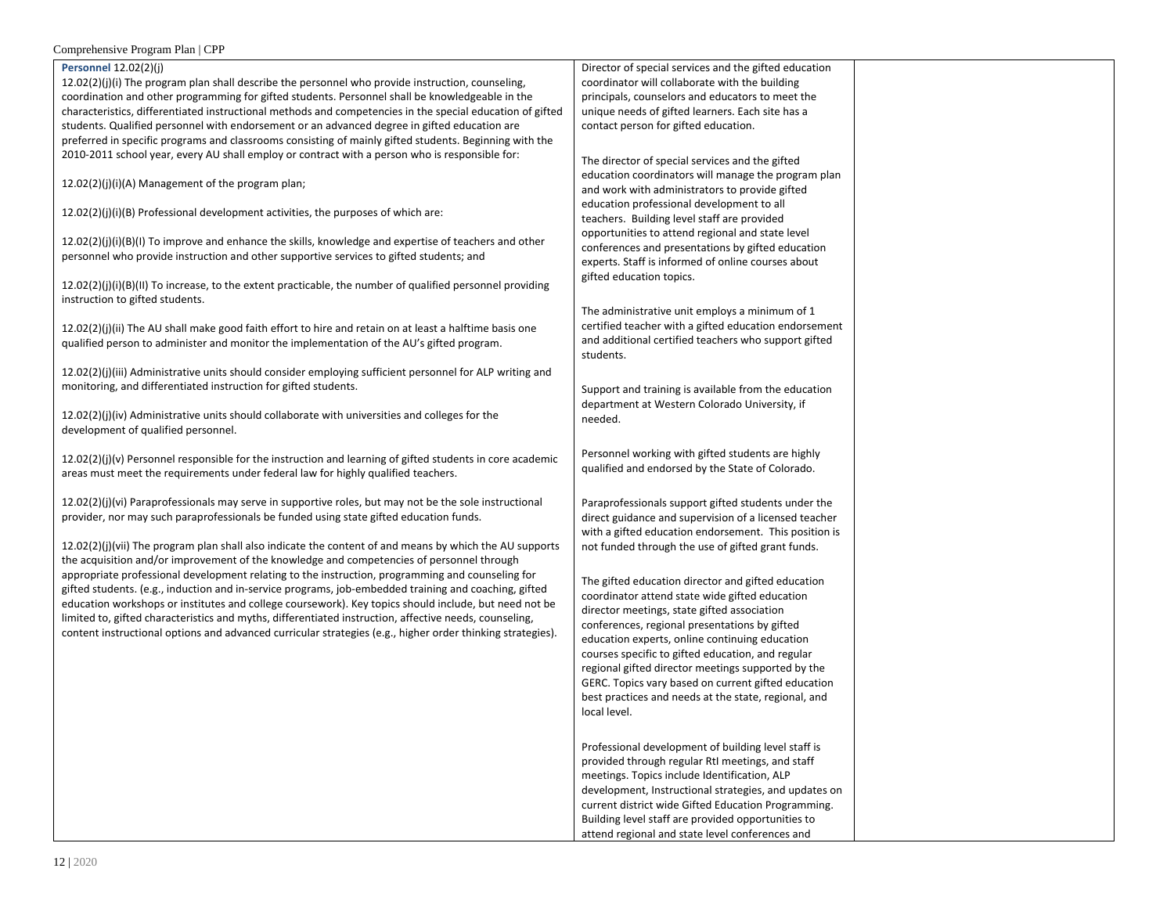#### **Personnel** 12.02(2)(j)

 $12.02(2)(j)(i)$  The program plan shall describe the personnel who provide instruction, counseling, coordination and other programming for gifted students. Personnel shall be knowledgeable in the characteristics, differentiated instructional methods and competencies in the special education of gifted students. Qualified personnel with endorsement or an advanced degree in gifted education are preferred in specific programs and classrooms consisting of mainly gifted students. Beginning with the 2010-2011 school year, every AU shall employ or contract with a person who is responsible for:

12.02(2)(j)(i)(A) Management of the program plan;

12.02(2)(j)(i)(B) Professional development activities, the purposes of which are:

12.02(2)(j)(i)(B)(I) To improve and enhance the skills, knowledge and expertise of teachers and other personnel who provide instruction and other supportive services to gifted students; and

 $12.02(2)(j)(i)(B)(II)$  To increase, to the extent practicable, the number of qualified personnel providing instruction to gifted students.

 $12.02(2)(j)(ii)$  The AU shall make good faith effort to hire and retain on at least a halftime basis one qualified person to administer and monitor the implementation of the AU's gifted program.

12.02(2)(j)(iii) Administrative units should consider employing sufficient personnel for ALP writing and monitoring, and differentiated instruction for gifted students.

12.02(2)(j)(iv) Administrative units should collaborate with universities and colleges for the development of qualified personnel.

12.02(2)(j)(v) Personnel responsible for the instruction and learning of gifted students in core academic areas must meet the requirements under federal law for highly qualified teachers.

12.02(2)(j)(vi) Paraprofessionals may serve in supportive roles, but may not be the sole instructional provider, nor may such paraprofessionals be funded using state gifted education funds.

12.02(2)(j)(vii) The program plan shall also indicate the content of and means by which the AU supports the acquisition and/or improvement of the knowledge and competencies of personnel through appropriate professional development relating to the instruction, programming and counseling for gifted students. (e.g., induction and in-service programs, job-embedded training and coaching, gifted education workshops or institutes and college coursework). Key topics should include, but need not be limited to, gifted characteristics and myths, differentiated instruction, affective needs, counseling, content instructional options and advanced curricular strategies (e.g., higher order thinking strategies).

Director of special services and the gifted education coordinator will collaborate with the building principals, counselors and educators to meet the unique needs of gifted learners. Each site has a contact person for gifted education.

The director of special services and the gifted education coordinators will manage the program plan and work with administrators to provide gifted education professional development to all teachers. Building level staff are provided opportunities to attend regional and state level conferences and presentations by gifted education experts. Staff is informed of online courses about gifted education topics.

The administrative unit employs a minimum of 1 certified teacher with a gifted education endorsement and additional certified teachers who support gifted students.

Support and training is available from the education department at Western Colorado University, if needed.

Personnel working with gifted students are highly qualified and endorsed by the State of Colorado.

Paraprofessionals support gifted students under the direct guidance and supervision of a licensed teacher with a gifted education endorsement. This position is not funded through the use of gifted grant funds.

The gifted education director and gifted education coordinator attend state wide gifted education director meetings, state gifted association conferences, regional presentations by gifted education experts, online continuing education courses specific to gifted education, and regular regional gifted director meetings supported by the GERC. Topics vary based on current gifted education best practices and needs at the state, regional, and local level.

Professional development of building level staff is provided through regular RtI meetings, and staff meetings. Topics include Identification, ALP development, Instructional strategies, and updates on current district wide Gifted Education Programming. Building level staff are provided opportunities to attend regional and state level conferences and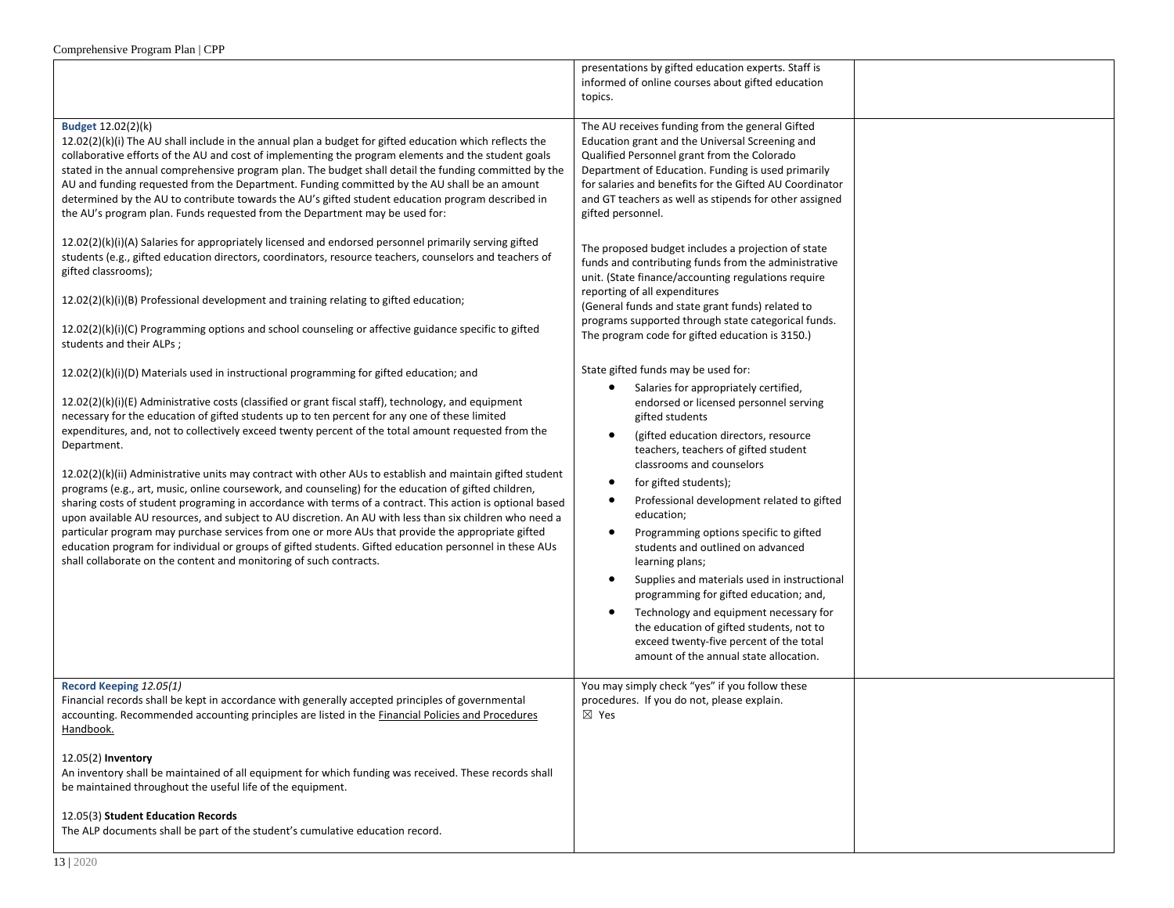|                                                                                                                                                                                                                                                                                                                                                                                                                                                                                                                                                                                                                                                                                                                                                                                                                                                                                                                                                                                                                                                                                                                                                            | presentations by gifted education experts. Staff is<br>informed of online courses about gifted education<br>topics.                                                                                                                                                                                                                                                                                                                                                                                                                                                                                                                                                                                                                        |  |
|------------------------------------------------------------------------------------------------------------------------------------------------------------------------------------------------------------------------------------------------------------------------------------------------------------------------------------------------------------------------------------------------------------------------------------------------------------------------------------------------------------------------------------------------------------------------------------------------------------------------------------------------------------------------------------------------------------------------------------------------------------------------------------------------------------------------------------------------------------------------------------------------------------------------------------------------------------------------------------------------------------------------------------------------------------------------------------------------------------------------------------------------------------|--------------------------------------------------------------------------------------------------------------------------------------------------------------------------------------------------------------------------------------------------------------------------------------------------------------------------------------------------------------------------------------------------------------------------------------------------------------------------------------------------------------------------------------------------------------------------------------------------------------------------------------------------------------------------------------------------------------------------------------------|--|
| Budget 12.02(2)(k)<br>$12.02(2)(k)(i)$ The AU shall include in the annual plan a budget for gifted education which reflects the<br>collaborative efforts of the AU and cost of implementing the program elements and the student goals<br>stated in the annual comprehensive program plan. The budget shall detail the funding committed by the<br>AU and funding requested from the Department. Funding committed by the AU shall be an amount<br>determined by the AU to contribute towards the AU's gifted student education program described in<br>the AU's program plan. Funds requested from the Department may be used for:                                                                                                                                                                                                                                                                                                                                                                                                                                                                                                                        | The AU receives funding from the general Gifted<br>Education grant and the Universal Screening and<br>Qualified Personnel grant from the Colorado<br>Department of Education. Funding is used primarily<br>for salaries and benefits for the Gifted AU Coordinator<br>and GT teachers as well as stipends for other assigned<br>gifted personnel.                                                                                                                                                                                                                                                                                                                                                                                          |  |
| 12.02(2)(k)(i)(A) Salaries for appropriately licensed and endorsed personnel primarily serving gifted<br>students (e.g., gifted education directors, coordinators, resource teachers, counselors and teachers of<br>gifted classrooms);<br>$12.02(2)(k)(i)(B)$ Professional development and training relating to gifted education;<br>$12.02(2)(k)(i)(C)$ Programming options and school counseling or affective guidance specific to gifted<br>students and their ALPs;                                                                                                                                                                                                                                                                                                                                                                                                                                                                                                                                                                                                                                                                                   | The proposed budget includes a projection of state<br>funds and contributing funds from the administrative<br>unit. (State finance/accounting regulations require<br>reporting of all expenditures<br>(General funds and state grant funds) related to<br>programs supported through state categorical funds.<br>The program code for gifted education is 3150.)                                                                                                                                                                                                                                                                                                                                                                           |  |
| 12.02(2)(k)(i)(D) Materials used in instructional programming for gifted education; and<br>12.02(2)(k)(i)(E) Administrative costs (classified or grant fiscal staff), technology, and equipment<br>necessary for the education of gifted students up to ten percent for any one of these limited<br>expenditures, and, not to collectively exceed twenty percent of the total amount requested from the<br>Department.<br>$12.02(2)(k)(ii)$ Administrative units may contract with other AUs to establish and maintain gifted student<br>programs (e.g., art, music, online coursework, and counseling) for the education of gifted children,<br>sharing costs of student programing in accordance with terms of a contract. This action is optional based<br>upon available AU resources, and subject to AU discretion. An AU with less than six children who need a<br>particular program may purchase services from one or more AUs that provide the appropriate gifted<br>education program for individual or groups of gifted students. Gifted education personnel in these AUs<br>shall collaborate on the content and monitoring of such contracts. | State gifted funds may be used for:<br>Salaries for appropriately certified,<br>endorsed or licensed personnel serving<br>gifted students<br>(gifted education directors, resource<br>$\bullet$<br>teachers, teachers of gifted student<br>classrooms and counselors<br>for gifted students);<br>Professional development related to gifted<br>education;<br>Programming options specific to gifted<br>students and outlined on advanced<br>learning plans;<br>Supplies and materials used in instructional<br>٠<br>programming for gifted education; and,<br>Technology and equipment necessary for<br>٠<br>the education of gifted students, not to<br>exceed twenty-five percent of the total<br>amount of the annual state allocation. |  |
| Record Keeping 12.05(1)<br>Financial records shall be kept in accordance with generally accepted principles of governmental<br>accounting. Recommended accounting principles are listed in the <b>Financial Policies and Procedures</b><br>Handbook.                                                                                                                                                                                                                                                                                                                                                                                                                                                                                                                                                                                                                                                                                                                                                                                                                                                                                                       | You may simply check "yes" if you follow these<br>procedures. If you do not, please explain.<br>$\boxtimes$ Yes                                                                                                                                                                                                                                                                                                                                                                                                                                                                                                                                                                                                                            |  |
| 12.05(2) Inventory<br>An inventory shall be maintained of all equipment for which funding was received. These records shall<br>be maintained throughout the useful life of the equipment.                                                                                                                                                                                                                                                                                                                                                                                                                                                                                                                                                                                                                                                                                                                                                                                                                                                                                                                                                                  |                                                                                                                                                                                                                                                                                                                                                                                                                                                                                                                                                                                                                                                                                                                                            |  |
| 12.05(3) Student Education Records<br>The ALP documents shall be part of the student's cumulative education record.                                                                                                                                                                                                                                                                                                                                                                                                                                                                                                                                                                                                                                                                                                                                                                                                                                                                                                                                                                                                                                        |                                                                                                                                                                                                                                                                                                                                                                                                                                                                                                                                                                                                                                                                                                                                            |  |